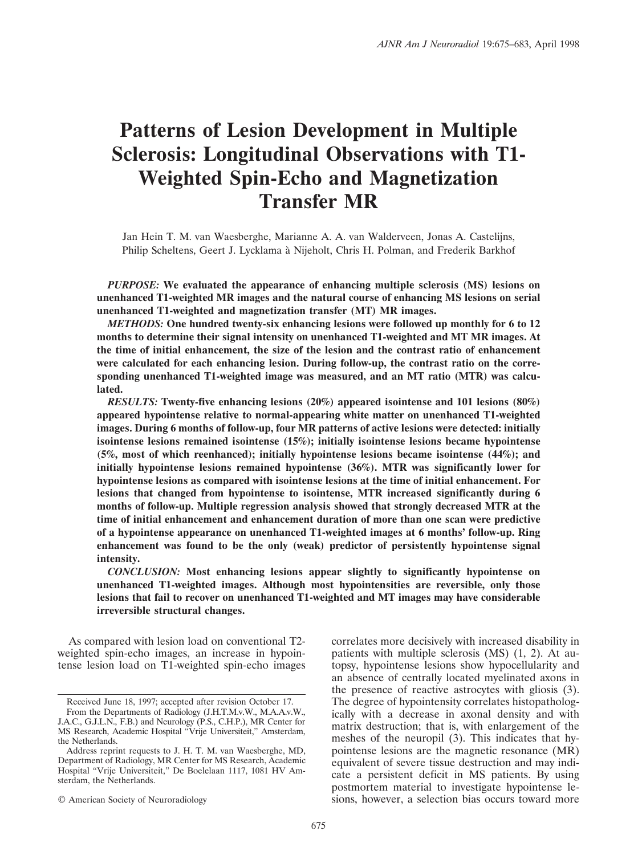# **Patterns of Lesion Development in Multiple Sclerosis: Longitudinal Observations with T1- Weighted Spin-Echo and Magnetization Transfer MR**

Jan Hein T. M. van Waesberghe, Marianne A. A. van Walderveen, Jonas A. Castelijns, Philip Scheltens, Geert J. Lycklama a` Nijeholt, Chris H. Polman, and Frederik Barkhof

*PURPOSE:* **We evaluated the appearance of enhancing multiple sclerosis (MS) lesions on unenhanced T1-weighted MR images and the natural course of enhancing MS lesions on serial unenhanced T1-weighted and magnetization transfer (MT) MR images.**

*METHODS:* **One hundred twenty-six enhancing lesions were followed up monthly for 6 to 12 months to determine their signal intensity on unenhanced T1-weighted and MT MR images. At the time of initial enhancement, the size of the lesion and the contrast ratio of enhancement were calculated for each enhancing lesion. During follow-up, the contrast ratio on the corresponding unenhanced T1-weighted image was measured, and an MT ratio (MTR) was calculated.**

*RESULTS:* **Twenty-five enhancing lesions (20%) appeared isointense and 101 lesions (80%) appeared hypointense relative to normal-appearing white matter on unenhanced T1-weighted images. During 6 months of follow-up, four MR patterns of active lesions were detected: initially isointense lesions remained isointense (15%); initially isointense lesions became hypointense (5%, most of which reenhanced); initially hypointense lesions became isointense (44%); and initially hypointense lesions remained hypointense (36%). MTR was significantly lower for hypointense lesions as compared with isointense lesions at the time of initial enhancement. For lesions that changed from hypointense to isointense, MTR increased significantly during 6 months of follow-up. Multiple regression analysis showed that strongly decreased MTR at the time of initial enhancement and enhancement duration of more than one scan were predictive of a hypointense appearance on unenhanced T1-weighted images at 6 months' follow-up. Ring enhancement was found to be the only (weak) predictor of persistently hypointense signal intensity.**

*CONCLUSION:* **Most enhancing lesions appear slightly to significantly hypointense on unenhanced T1-weighted images. Although most hypointensities are reversible, only those lesions that fail to recover on unenhanced T1-weighted and MT images may have considerable irreversible structural changes.**

As compared with lesion load on conventional T2 weighted spin-echo images, an increase in hypointense lesion load on T1-weighted spin-echo images

© American Society of Neuroradiology

correlates more decisively with increased disability in patients with multiple sclerosis (MS) (1, 2). At autopsy, hypointense lesions show hypocellularity and an absence of centrally located myelinated axons in the presence of reactive astrocytes with gliosis (3). The degree of hypointensity correlates histopathologically with a decrease in axonal density and with matrix destruction; that is, with enlargement of the meshes of the neuropil (3). This indicates that hypointense lesions are the magnetic resonance (MR) equivalent of severe tissue destruction and may indicate a persistent deficit in MS patients. By using postmortem material to investigate hypointense lesions, however, a selection bias occurs toward more

Received June 18, 1997; accepted after revision October 17. From the Departments of Radiology (J.H.T.M.v.W., M.A.A.v.W.,

J.A.C., G.J.L.N., F.B.) and Neurology (P.S., C.H.P.), MR Center for MS Research, Academic Hospital "Vrije Universiteit," Amsterdam, the Netherlands.

Address reprint requests to J. H. T. M. van Waesberghe, MD, Department of Radiology, MR Center for MS Research, Academic Hospital "Vrije Universiteit," De Boelelaan 1117, 1081 HV Amsterdam, the Netherlands.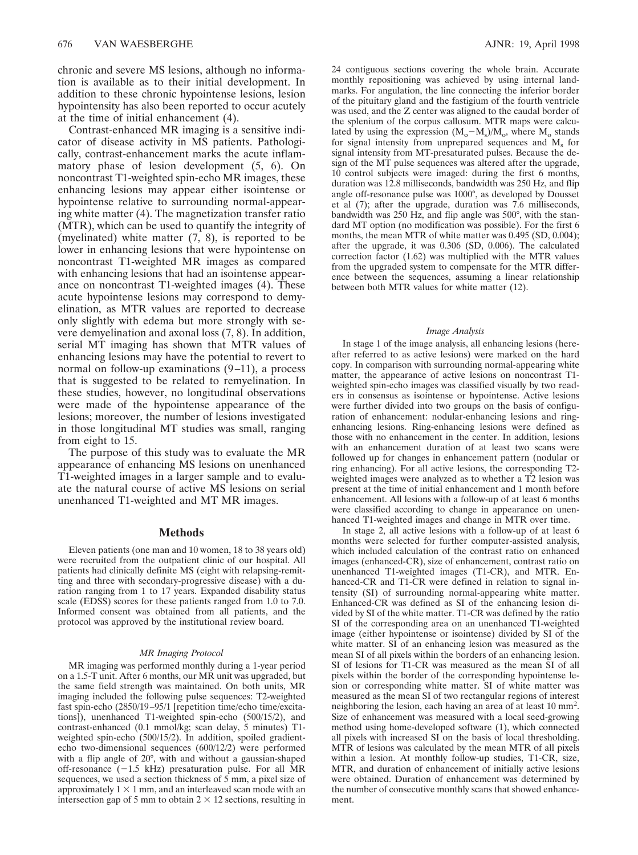chronic and severe MS lesions, although no information is available as to their initial development. In addition to these chronic hypointense lesions, lesion hypointensity has also been reported to occur acutely at the time of initial enhancement (4).

Contrast-enhanced MR imaging is a sensitive indicator of disease activity in MS patients. Pathologically, contrast-enhancement marks the acute inflammatory phase of lesion development (5, 6). On noncontrast T1-weighted spin-echo MR images, these enhancing lesions may appear either isointense or hypointense relative to surrounding normal-appearing white matter (4). The magnetization transfer ratio (MTR), which can be used to quantify the integrity of (myelinated) white matter (7, 8), is reported to be lower in enhancing lesions that were hypointense on noncontrast T1-weighted MR images as compared with enhancing lesions that had an isointense appearance on noncontrast T1-weighted images (4). These acute hypointense lesions may correspond to demyelination, as MTR values are reported to decrease only slightly with edema but more strongly with severe demyelination and axonal loss (7, 8). In addition, serial MT imaging has shown that MTR values of enhancing lesions may have the potential to revert to normal on follow-up examinations (9–11), a process that is suggested to be related to remyelination. In these studies, however, no longitudinal observations were made of the hypointense appearance of the lesions; moreover, the number of lesions investigated in those longitudinal MT studies was small, ranging from eight to 15.

The purpose of this study was to evaluate the MR appearance of enhancing MS lesions on unenhanced T1-weighted images in a larger sample and to evaluate the natural course of active MS lesions on serial unenhanced T1-weighted and MT MR images.

## **Methods**

Eleven patients (one man and 10 women, 18 to 38 years old) were recruited from the outpatient clinic of our hospital. All patients had clinically definite MS (eight with relapsing-remitting and three with secondary-progressive disease) with a duration ranging from 1 to 17 years. Expanded disability status scale (EDSS) scores for these patients ranged from 1.0 to 7.0. Informed consent was obtained from all patients, and the protocol was approved by the institutional review board.

#### *MR Imaging Protocol*

MR imaging was performed monthly during a 1-year period on a 1.5-T unit. After 6 months, our MR unit was upgraded, but the same field strength was maintained. On both units, MR imaging included the following pulse sequences: T2-weighted fast spin-echo (2850/19–95/1 [repetition time/echo time/excitations]), unenhanced T1-weighted spin-echo (500/15/2), and contrast-enhanced (0.1 mmol/kg; scan delay, 5 minutes) T1 weighted spin-echo (500/15/2). In addition, spoiled gradientecho two-dimensional sequences (600/12/2) were performed with a flip angle of 20°, with and without a gaussian-shaped off-resonance  $(-1.5 \text{ kHz})$  presaturation pulse. For all MR sequences, we used a section thickness of 5 mm, a pixel size of approximately  $1 \times 1$  mm, and an interleaved scan mode with an intersection gap of 5 mm to obtain  $2 \times 12$  sections, resulting in

24 contiguous sections covering the whole brain. Accurate monthly repositioning was achieved by using internal landmarks. For angulation, the line connecting the inferior border of the pituitary gland and the fastigium of the fourth ventricle was used, and the Z center was aligned to the caudal border of the splenium of the corpus callosum. MTR maps were calculated by using the expression  $(M_o-M_s)/M_o$ , where M<sub>o</sub> stands for signal intensity from unprepared sequences and  $M<sub>s</sub>$  for signal intensity from MT-presaturated pulses. Because the design of the MT pulse sequences was altered after the upgrade, 10 control subjects were imaged: during the first 6 months, duration was 12.8 milliseconds, bandwidth was 250 Hz, and flip angle off-resonance pulse was 1000°, as developed by Dousset et al (7); after the upgrade, duration was 7.6 milliseconds, bandwidth was 250 Hz, and flip angle was 500°, with the standard MT option (no modification was possible). For the first 6 months, the mean MTR of white matter was 0.495 (SD, 0.004); after the upgrade, it was 0.306 (SD, 0.006). The calculated correction factor (1.62) was multiplied with the MTR values from the upgraded system to compensate for the MTR difference between the sequences, assuming a linear relationship between both MTR values for white matter (12).

#### *Image Analysis*

In stage 1 of the image analysis, all enhancing lesions (hereafter referred to as active lesions) were marked on the hard copy. In comparison with surrounding normal-appearing white matter, the appearance of active lesions on noncontrast T1 weighted spin-echo images was classified visually by two readers in consensus as isointense or hypointense. Active lesions were further divided into two groups on the basis of configuration of enhancement: nodular-enhancing lesions and ringenhancing lesions. Ring-enhancing lesions were defined as those with no enhancement in the center. In addition, lesions with an enhancement duration of at least two scans were followed up for changes in enhancement pattern (nodular or ring enhancing). For all active lesions, the corresponding T2 weighted images were analyzed as to whether a T2 lesion was present at the time of initial enhancement and 1 month before enhancement. All lesions with a follow-up of at least 6 months were classified according to change in appearance on unenhanced T1-weighted images and change in MTR over time.

In stage 2, all active lesions with a follow-up of at least 6 months were selected for further computer-assisted analysis, which included calculation of the contrast ratio on enhanced images (enhanced-CR), size of enhancement, contrast ratio on unenhanced T1-weighted images (T1-CR), and MTR. Enhanced-CR and T1-CR were defined in relation to signal intensity (SI) of surrounding normal-appearing white matter. Enhanced-CR was defined as SI of the enhancing lesion divided by SI of the white matter. T1-CR was defined by the ratio SI of the corresponding area on an unenhanced T1-weighted image (either hypointense or isointense) divided by SI of the white matter. SI of an enhancing lesion was measured as the mean SI of all pixels within the borders of an enhancing lesion. SI of lesions for T1-CR was measured as the mean SI of all pixels within the border of the corresponding hypointense lesion or corresponding white matter. SI of white matter was measured as the mean SI of two rectangular regions of interest neighboring the lesion, each having an area of at least 10 mm<sup>2</sup>. Size of enhancement was measured with a local seed-growing method using home-developed software (1), which connected all pixels with increased SI on the basis of local thresholding. MTR of lesions was calculated by the mean MTR of all pixels within a lesion. At monthly follow-up studies, T1-CR, size, MTR, and duration of enhancement of initially active lesions were obtained. Duration of enhancement was determined by the number of consecutive monthly scans that showed enhancement.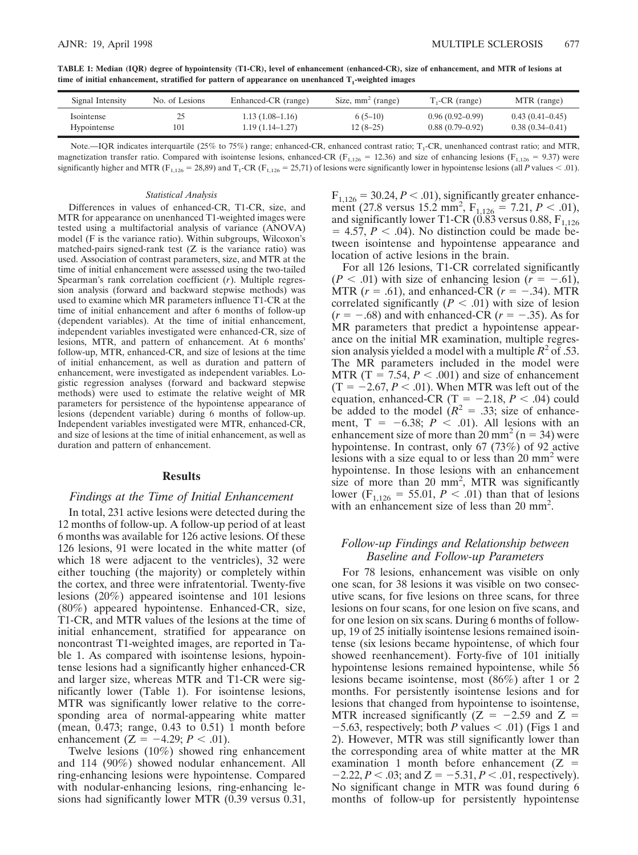**TABLE 1: Median (IQR) degree of hypointensity (T1-CR), level of enhancement (enhanced-CR), size of enhancement, and MTR of lesions at** time of initial enhancement, stratified for pattern of appearance on unenhanced T<sub>1</sub>-weighted images

| Signal Intensity | No. of Lesions | Enhanced-CR (range) | Size, $mm^2$ (range) | $T1-CR$ (range)   | MTR (range)         |
|------------------|----------------|---------------------|----------------------|-------------------|---------------------|
| Isointense       | 101            | $1.13(1.08-1.16)$   | $6(5-10)$            | $0.96(0.92-0.99)$ | $0.43(0.41-0.45)$   |
| Hypointense      |                | $1.19(1.14 - 1.27)$ | $12(8-25)$           | $0.88(0.79-0.92)$ | $0.38(0.34 - 0.41)$ |

Note.—IQR indicates interquartile (25% to 75%) range; enhanced-CR, enhanced contrast ratio;  $T_1$ -CR, unenhanced contrast ratio; and MTR, magnetization transfer ratio. Compared with isointense lesions, enhanced-CR ( $F_{1,126} = 12.36$ ) and size of enhancing lesions ( $F_{1,126} = 9.37$ ) were significantly higher and MTR (F<sub>1,126</sub> = 28,89) and T<sub>1</sub>-CR (F<sub>1,126</sub> = 25,71) of lesions were significantly lower in hypointense lesions (all *P* values < .01).

#### *Statistical Analysis*

Differences in values of enhanced-CR, T1-CR, size, and MTR for appearance on unenhanced T1-weighted images were tested using a multifactorial analysis of variance (ANOVA) model (F is the variance ratio). Within subgroups, Wilcoxon's matched-pairs signed-rank test (Z is the variance ratio) was used. Association of contrast parameters, size, and MTR at the time of initial enhancement were assessed using the two-tailed Spearman's rank correlation coefficient (*r*). Multiple regression analysis (forward and backward stepwise methods) was used to examine which MR parameters influence T1-CR at the time of initial enhancement and after 6 months of follow-up (dependent variables). At the time of initial enhancement, independent variables investigated were enhanced-CR, size of lesions, MTR, and pattern of enhancement. At 6 months' follow-up, MTR, enhanced-CR, and size of lesions at the time of initial enhancement, as well as duration and pattern of enhancement, were investigated as independent variables. Logistic regression analyses (forward and backward stepwise methods) were used to estimate the relative weight of MR parameters for persistence of the hypointense appearance of lesions (dependent variable) during 6 months of follow-up. Independent variables investigated were MTR, enhanced-CR, and size of lesions at the time of initial enhancement, as well as duration and pattern of enhancement.

## **Results**

# *Findings at the Time of Initial Enhancement*

In total, 231 active lesions were detected during the 12 months of follow-up. A follow-up period of at least 6 months was available for 126 active lesions. Of these 126 lesions, 91 were located in the white matter (of which 18 were adjacent to the ventricles), 32 were either touching (the majority) or completely within the cortex, and three were infratentorial. Twenty-five lesions (20%) appeared isointense and 101 lesions (80%) appeared hypointense. Enhanced-CR, size, T1-CR, and MTR values of the lesions at the time of initial enhancement, stratified for appearance on noncontrast T1-weighted images, are reported in Table 1. As compared with isointense lesions, hypointense lesions had a significantly higher enhanced-CR and larger size, whereas MTR and T1-CR were significantly lower (Table 1). For isointense lesions, MTR was significantly lower relative to the corresponding area of normal-appearing white matter (mean, 0.473; range, 0.43 to 0.51) 1 month before enhancement  $(Z = -4.29; P < .01)$ .

Twelve lesions (10%) showed ring enhancement and 114 (90%) showed nodular enhancement. All ring-enhancing lesions were hypointense. Compared with nodular-enhancing lesions, ring-enhancing lesions had significantly lower MTR (0.39 versus 0.31,  $F_{1,126} = 30.24, P < .01$ ), significantly greater enhancement (27.8 versus  $15.2 \text{ mm}^2$ ,  $F_{1,126} = 7.21, P < .01$ ), and significantly lower T1-CR (0.83 versus 0.88,  $F_{1,126}$ )  $= 4.57, P < .04$ ). No distinction could be made between isointense and hypointense appearance and location of active lesions in the brain.

For all 126 lesions, T1-CR correlated significantly  $(P < .01)$  with size of enhancing lesion  $(r = -.61)$ , MTR  $(r = .61)$ , and enhanced-CR  $(r = -.34)$ . MTR correlated significantly ( $P < .01$ ) with size of lesion  $(r = -.68)$  and with enhanced-CR  $(r = -.35)$ . As for MR parameters that predict a hypointense appearance on the initial MR examination, multiple regression analysis yielded a model with a multiple  $R^2$  of .53. The MR parameters included in the model were MTR (T = 7.54,  $P < .001$ ) and size of enhancement  $(T = -2.67, P < .01)$ . When MTR was left out of the equation, enhanced-CR  $(T = -2.18, P < .04)$  could be added to the model  $(R^2 = .33; \text{ size of enhance-}$ ment,  $T = -6.38$ ;  $P < .01$ ). All lesions with an enhancement size of more than  $20 \text{ mm}^2$  (n = 34) were hypointense. In contrast, only 67 (73%) of 92 active lesions with a size equal to or less than  $20 \text{ mm}^2$  were hypointense. In those lesions with an enhancement size of more than 20  $mm^2$ , MTR was significantly lower ( $F_{1,126} = 55.01, P < .01$ ) than that of lesions with an enhancement size of less than 20 mm<sup>2</sup>.

# *Follow-up Findings and Relationship between Baseline and Follow-up Parameters*

For 78 lesions, enhancement was visible on only one scan, for 38 lesions it was visible on two consecutive scans, for five lesions on three scans, for three lesions on four scans, for one lesion on five scans, and for one lesion on six scans. During 6 months of followup, 19 of 25 initially isointense lesions remained isointense (six lesions became hypointense, of which four showed reenhancement). Forty-five of 101 initially hypointense lesions remained hypointense, while 56 lesions became isointense, most (86%) after 1 or 2 months. For persistently isointense lesions and for lesions that changed from hypointense to isointense, MTR increased significantly ( $Z = -2.59$  and  $Z =$  $-5.63$ , respectively; both *P* values < .01) (Figs 1 and 2). However, MTR was still significantly lower than the corresponding area of white matter at the MR examination 1 month before enhancement  $(Z =$  $-2.22$ , *P* < .03; and Z =  $-5.31$ , *P* < .01, respectively). No significant change in MTR was found during 6 months of follow-up for persistently hypointense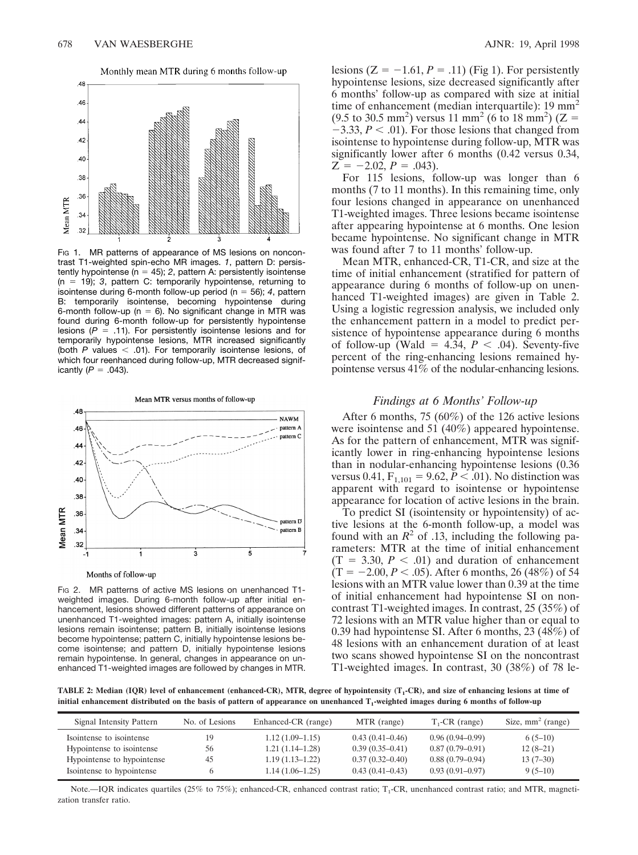

Monthly mean MTR during 6 months follow-up

Fig 1. MR patterns of appearance of MS lesions on noncontrast T1-weighted spin-echo MR images. *1*, pattern D: persistently hypointense ( $n = 45$ ); 2, pattern A: persistently isointense  $(n = 19)$ ; 3, pattern C: temporarily hypointense, returning to isointense during 6-month follow-up period ( $n = 56$ ); 4, pattern B: temporarily isointense, becoming hypointense during 6-month follow-up ( $n = 6$ ). No significant change in MTR was found during 6-month follow-up for persistently hypointense lesions  $(P = .11)$ . For persistently isointense lesions and for temporarily hypointense lesions, MTR increased significantly (both  $P$  values  $<$  .01). For temporarily isointense lesions, of which four reenhanced during follow-up, MTR decreased significantly  $(P = .043)$ .



Fig 2. MR patterns of active MS lesions on unenhanced T1weighted images. During 6-month follow-up after initial enhancement, lesions showed different patterns of appearance on unenhanced T1-weighted images: pattern A, initially isointense lesions remain isointense; pattern B, initially isointense lesions become hypointense; pattern C, initially hypointense lesions become isointense; and pattern D, initially hypointense lesions remain hypointense. In general, changes in appearance on unenhanced T1-weighted images are followed by changes in MTR.

lesions  $(Z = -1.61, P = .11)$  (Fig 1). For persistently hypointense lesions, size decreased significantly after 6 months' follow-up as compared with size at initial time of enhancement (median interquartile):  $19 \text{ mm}^2$  $(9.5 \text{ to } 30.5 \text{ mm}^2)$  versus 11 mm<sup>2</sup> (6 to 18 mm<sup>2</sup>) (Z =  $-3.33, P < .01$ ). For those lesions that changed from isointense to hypointense during follow-up, MTR was significantly lower after 6 months (0.42 versus 0.34,  $Z = -2.02, P = .043$ .

For 115 lesions, follow-up was longer than 6 months (7 to 11 months). In this remaining time, only four lesions changed in appearance on unenhanced T1-weighted images. Three lesions became isointense after appearing hypointense at 6 months. One lesion became hypointense. No significant change in MTR was found after 7 to 11 months' follow-up.

Mean MTR, enhanced-CR, T1-CR, and size at the time of initial enhancement (stratified for pattern of appearance during 6 months of follow-up on unenhanced T1-weighted images) are given in Table 2. Using a logistic regression analysis, we included only the enhancement pattern in a model to predict persistence of hypointense appearance during 6 months of follow-up (Wald =  $4.\overline{3}4$ ,  $P < .04$ ). Seventy-five percent of the ring-enhancing lesions remained hypointense versus 41% of the nodular-enhancing lesions.

## *Findings at 6 Months' Follow-up*

After 6 months, 75 (60%) of the 126 active lesions were isointense and 51 (40%) appeared hypointense. As for the pattern of enhancement, MTR was significantly lower in ring-enhancing hypointense lesions than in nodular-enhancing hypointense lesions (0.36 versus 0.41,  $F_{1,101} = 9.62, P < .01$ ). No distinction was apparent with regard to isointense or hypointense appearance for location of active lesions in the brain.

To predict SI (isointensity or hypointensity) of active lesions at the 6-month follow-up, a model was found with an  $R^2$  of .13, including the following parameters: MTR at the time of initial enhancement  $(T = 3.30, P < .01)$  and duration of enhancement  $(T = -2.00, P < .05)$ . After 6 months, 26 (48%) of 54 lesions with an MTR value lower than 0.39 at the time of initial enhancement had hypointense SI on noncontrast T1-weighted images. In contrast, 25 (35%) of 72 lesions with an MTR value higher than or equal to 0.39 had hypointense SI. After 6 months, 23 (48%) of 48 lesions with an enhancement duration of at least two scans showed hypointense SI on the noncontrast T1-weighted images. In contrast, 30 (38%) of 78 le-

TABLE 2: Median (IQR) level of enhancement (enhanced-CR), MTR, degree of hypointensity (T<sub>1</sub>-CR), and size of enhancing lesions at time of initial enhancement distributed on the basis of pattern of appearance on unenhanced T<sub>1</sub>-weighted images during 6 months of follow-up

| Signal Intensity Pattern   | No. of Lesions | Enhanced-CR (range) | MTR (range)         | $T_{1}$ -CR (range) | Size, $mm2$ (range) |
|----------------------------|----------------|---------------------|---------------------|---------------------|---------------------|
| Isointense to isointense   | 19             | $1.12(1.09-1.15)$   | $0.43(0.41-0.46)$   | $0.96(0.94 - 0.99)$ | $6(5-10)$           |
| Hypointense to isointense  | 56             | $1.21(1.14-1.28)$   | $0.39(0.35-0.41)$   | $0.87(0.79-0.91)$   | $12(8-21)$          |
| Hypointense to hypointense | 45             | $1.19(1.13 - 1.22)$ | $0.37(0.32 - 0.40)$ | $0.88(0.79-0.94)$   | $13(7-30)$          |
| Isointense to hypointense  |                | $1.14(1.06-1.25)$   | $0.43(0.41 - 0.43)$ | $0.93(0.91-0.97)$   | $9(5-10)$           |

Note.—IQR indicates quartiles (25% to 75%); enhanced-CR, enhanced contrast ratio;  $T_1$ -CR, unenhanced contrast ratio; and MTR, magnetization transfer ratio.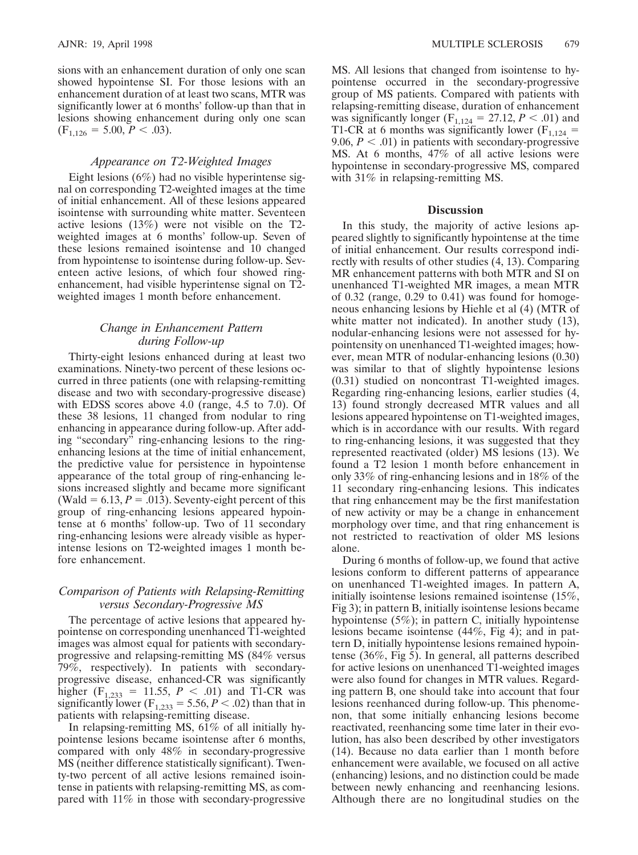sions with an enhancement duration of only one scan showed hypointense SI. For those lesions with an enhancement duration of at least two scans, MTR was significantly lower at 6 months' follow-up than that in lesions showing enhancement during only one scan  $(F<sub>1.126</sub> = 5.00, P < .03).$ 

## *Appearance on T2-Weighted Images*

Eight lesions (6%) had no visible hyperintense signal on corresponding T2-weighted images at the time of initial enhancement. All of these lesions appeared isointense with surrounding white matter. Seventeen active lesions (13%) were not visible on the T2 weighted images at 6 months' follow-up. Seven of these lesions remained isointense and 10 changed from hypointense to isointense during follow-up. Seventeen active lesions, of which four showed ringenhancement, had visible hyperintense signal on T2 weighted images 1 month before enhancement.

# *Change in Enhancement Pattern during Follow-up*

Thirty-eight lesions enhanced during at least two examinations. Ninety-two percent of these lesions occurred in three patients (one with relapsing-remitting disease and two with secondary-progressive disease) with EDSS scores above 4.0 (range, 4.5 to 7.0). Of these 38 lesions, 11 changed from nodular to ring enhancing in appearance during follow-up. After adding "secondary" ring-enhancing lesions to the ringenhancing lesions at the time of initial enhancement, the predictive value for persistence in hypointense appearance of the total group of ring-enhancing lesions increased slightly and became more significant (Wald =  $6.13, P = .013$ ). Seventy-eight percent of this group of ring-enhancing lesions appeared hypointense at 6 months' follow-up. Two of 11 secondary ring-enhancing lesions were already visible as hyperintense lesions on T2-weighted images 1 month before enhancement.

# *Comparison of Patients with Relapsing-Remitting versus Secondary-Progressive MS*

The percentage of active lesions that appeared hypointense on corresponding unenhanced T1-weighted images was almost equal for patients with secondaryprogressive and relapsing-remitting MS (84% versus 79%, respectively). In patients with secondaryprogressive disease, enhanced-CR was significantly higher ( $F_{1,233} = 11.55$ ,  $P < .01$ ) and T1-CR was significantly lower ( $F_{1,233} = 5.56, P < .02$ ) than that in patients with relapsing-remitting disease.

In relapsing-remitting MS, 61% of all initially hypointense lesions became isointense after 6 months, compared with only 48% in secondary-progressive MS (neither difference statistically significant). Twenty-two percent of all active lesions remained isointense in patients with relapsing-remitting MS, as compared with 11% in those with secondary-progressive

MS. All lesions that changed from isointense to hypointense occurred in the secondary-progressive group of MS patients. Compared with patients with relapsing-remitting disease, duration of enhancement was significantly longer ( $F_{1,124} = 27.12, P < .01$ ) and T1-CR at 6 months was significantly lower ( $F_{1,124}$  = 9.06,  $P < .01$ ) in patients with secondary-progressive MS. At 6 months, 47% of all active lesions were hypointense in secondary-progressive MS, compared with 31% in relapsing-remitting MS.

## **Discussion**

In this study, the majority of active lesions appeared slightly to significantly hypointense at the time of initial enhancement. Our results correspond indirectly with results of other studies (4, 13). Comparing MR enhancement patterns with both MTR and SI on unenhanced T1-weighted MR images, a mean MTR of 0.32 (range, 0.29 to 0.41) was found for homogeneous enhancing lesions by Hiehle et al (4) (MTR of white matter not indicated). In another study (13), nodular-enhancing lesions were not assessed for hypointensity on unenhanced T1-weighted images; however, mean MTR of nodular-enhancing lesions (0.30) was similar to that of slightly hypointense lesions (0.31) studied on noncontrast T1-weighted images. Regarding ring-enhancing lesions, earlier studies (4, 13) found strongly decreased MTR values and all lesions appeared hypointense on T1-weighted images, which is in accordance with our results. With regard to ring-enhancing lesions, it was suggested that they represented reactivated (older) MS lesions (13). We found a T2 lesion 1 month before enhancement in only 33% of ring-enhancing lesions and in 18% of the 11 secondary ring-enhancing lesions. This indicates that ring enhancement may be the first manifestation of new activity or may be a change in enhancement morphology over time, and that ring enhancement is not restricted to reactivation of older MS lesions alone.

During 6 months of follow-up, we found that active lesions conform to different patterns of appearance on unenhanced T1-weighted images. In pattern A, initially isointense lesions remained isointense (15%, Fig 3); in pattern B, initially isointense lesions became hypointense (5%); in pattern C, initially hypointense lesions became isointense (44%, Fig 4); and in pattern D, initially hypointense lesions remained hypointense (36%, Fig 5). In general, all patterns described for active lesions on unenhanced T1-weighted images were also found for changes in MTR values. Regarding pattern B, one should take into account that four lesions reenhanced during follow-up. This phenomenon, that some initially enhancing lesions become reactivated, reenhancing some time later in their evolution, has also been described by other investigators (14). Because no data earlier than 1 month before enhancement were available, we focused on all active (enhancing) lesions, and no distinction could be made between newly enhancing and reenhancing lesions. Although there are no longitudinal studies on the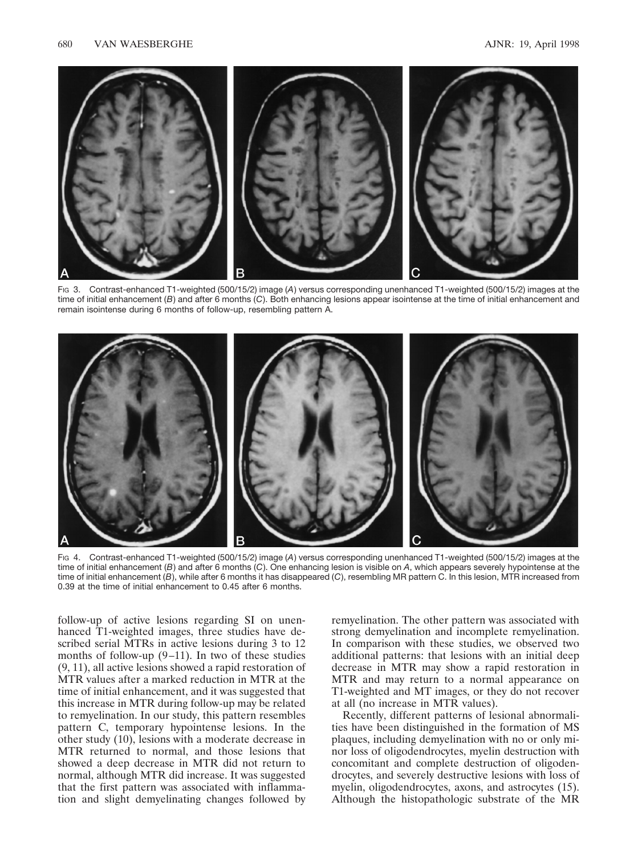

FIG 3. Contrast-enhanced T1-weighted (500/15/2) image (*A*) versus corresponding unenhanced T1-weighted (500/15/2) images at the time of initial enhancement (*B*) and after 6 months (*C*). Both enhancing lesions appear isointense at the time of initial enhancement and remain isointense during 6 months of follow-up, resembling pattern A.



FIG 4. Contrast-enhanced T1-weighted (500/15/2) image (*A*) versus corresponding unenhanced T1-weighted (500/15/2) images at the time of initial enhancement (*B*) and after 6 months (*C*). One enhancing lesion is visible on *A*, which appears severely hypointense at the time of initial enhancement (*B*), while after 6 months it has disappeared (*C*), resembling MR pattern C. In this lesion, MTR increased from 0.39 at the time of initial enhancement to 0.45 after 6 months.

follow-up of active lesions regarding SI on unenhanced T1-weighted images, three studies have described serial MTRs in active lesions during 3 to 12 months of follow-up  $(9-11)$ . In two of these studies (9, 11), all active lesions showed a rapid restoration of MTR values after a marked reduction in MTR at the time of initial enhancement, and it was suggested that this increase in MTR during follow-up may be related to remyelination. In our study, this pattern resembles pattern C, temporary hypointense lesions. In the other study (10), lesions with a moderate decrease in MTR returned to normal, and those lesions that showed a deep decrease in MTR did not return to normal, although MTR did increase. It was suggested that the first pattern was associated with inflammation and slight demyelinating changes followed by remyelination. The other pattern was associated with strong demyelination and incomplete remyelination. In comparison with these studies, we observed two additional patterns: that lesions with an initial deep decrease in MTR may show a rapid restoration in MTR and may return to a normal appearance on T1-weighted and MT images, or they do not recover at all (no increase in MTR values).

Recently, different patterns of lesional abnormalities have been distinguished in the formation of MS plaques, including demyelination with no or only minor loss of oligodendrocytes, myelin destruction with concomitant and complete destruction of oligodendrocytes, and severely destructive lesions with loss of myelin, oligodendrocytes, axons, and astrocytes (15). Although the histopathologic substrate of the MR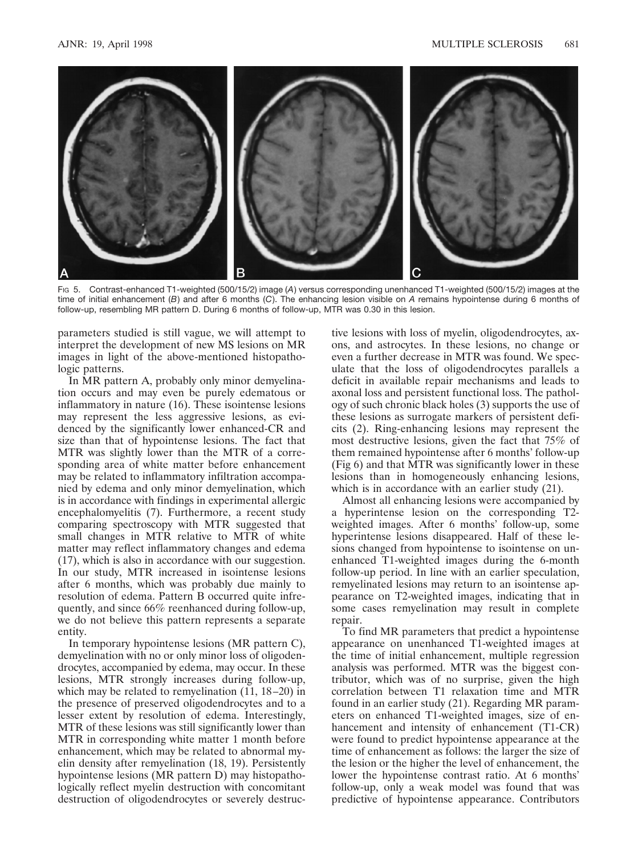

FIG 5. Contrast-enhanced T1-weighted (500/15/2) image (*A*) versus corresponding unenhanced T1-weighted (500/15/2) images at the time of initial enhancement (*B*) and after 6 months (*C*). The enhancing lesion visible on *A* remains hypointense during 6 months of follow-up, resembling MR pattern D. During 6 months of follow-up, MTR was 0.30 in this lesion.

parameters studied is still vague, we will attempt to interpret the development of new MS lesions on MR images in light of the above-mentioned histopathologic patterns.

In MR pattern A, probably only minor demyelination occurs and may even be purely edematous or inflammatory in nature (16). These isointense lesions may represent the less aggressive lesions, as evidenced by the significantly lower enhanced-CR and size than that of hypointense lesions. The fact that MTR was slightly lower than the MTR of a corresponding area of white matter before enhancement may be related to inflammatory infiltration accompanied by edema and only minor demyelination, which is in accordance with findings in experimental allergic encephalomyelitis (7). Furthermore, a recent study comparing spectroscopy with MTR suggested that small changes in MTR relative to MTR of white matter may reflect inflammatory changes and edema (17), which is also in accordance with our suggestion. In our study, MTR increased in isointense lesions after 6 months, which was probably due mainly to resolution of edema. Pattern B occurred quite infrequently, and since 66% reenhanced during follow-up, we do not believe this pattern represents a separate entity.

In temporary hypointense lesions (MR pattern C), demyelination with no or only minor loss of oligodendrocytes, accompanied by edema, may occur. In these lesions, MTR strongly increases during follow-up, which may be related to remyelination (11, 18–20) in the presence of preserved oligodendrocytes and to a lesser extent by resolution of edema. Interestingly, MTR of these lesions was still significantly lower than MTR in corresponding white matter 1 month before enhancement, which may be related to abnormal myelin density after remyelination (18, 19). Persistently hypointense lesions (MR pattern D) may histopathologically reflect myelin destruction with concomitant destruction of oligodendrocytes or severely destructive lesions with loss of myelin, oligodendrocytes, axons, and astrocytes. In these lesions, no change or even a further decrease in MTR was found. We speculate that the loss of oligodendrocytes parallels a deficit in available repair mechanisms and leads to axonal loss and persistent functional loss. The pathology of such chronic black holes (3) supports the use of these lesions as surrogate markers of persistent deficits (2). Ring-enhancing lesions may represent the most destructive lesions, given the fact that 75% of them remained hypointense after 6 months' follow-up (Fig 6) and that MTR was significantly lower in these lesions than in homogeneously enhancing lesions, which is in accordance with an earlier study  $(21)$ .

Almost all enhancing lesions were accompanied by a hyperintense lesion on the corresponding T2 weighted images. After 6 months' follow-up, some hyperintense lesions disappeared. Half of these lesions changed from hypointense to isointense on unenhanced T1-weighted images during the 6-month follow-up period. In line with an earlier speculation, remyelinated lesions may return to an isointense appearance on T2-weighted images, indicating that in some cases remyelination may result in complete repair.

To find MR parameters that predict a hypointense appearance on unenhanced T1-weighted images at the time of initial enhancement, multiple regression analysis was performed. MTR was the biggest contributor, which was of no surprise, given the high correlation between T1 relaxation time and MTR found in an earlier study (21). Regarding MR parameters on enhanced T1-weighted images, size of enhancement and intensity of enhancement (T1-CR) were found to predict hypointense appearance at the time of enhancement as follows: the larger the size of the lesion or the higher the level of enhancement, the lower the hypointense contrast ratio. At 6 months' follow-up, only a weak model was found that was predictive of hypointense appearance. Contributors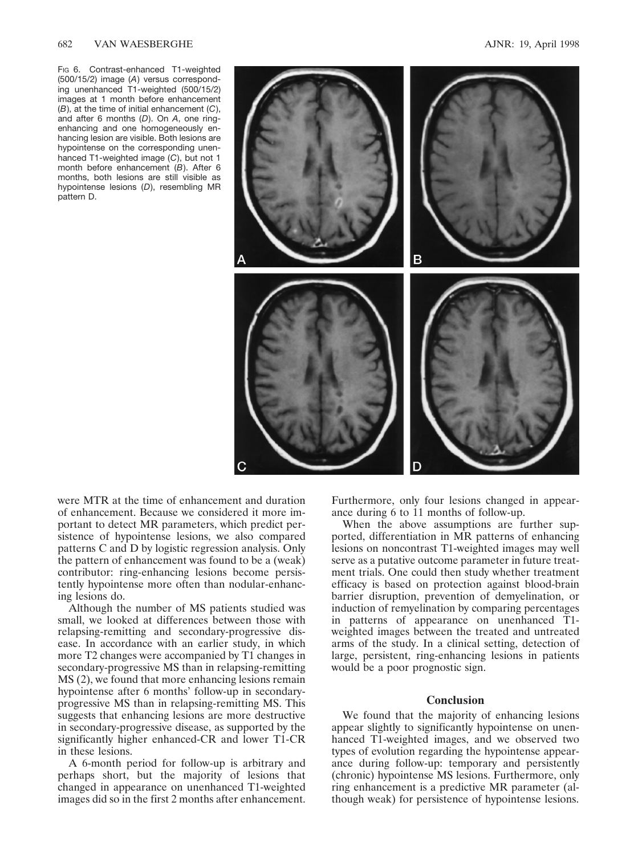Fig 6. Contrast-enhanced T1-weighted (500/15/2) image (*A*) versus corresponding unenhanced T1-weighted (500/15/2) images at 1 month before enhancement (*B*), at the time of initial enhancement (*C*), and after 6 months (*D*). On *A*, one ringenhancing and one homogeneously enhancing lesion are visible. Both lesions are hypointense on the corresponding unenhanced T1-weighted image (*C*), but not 1 month before enhancement (*B*). After 6 months, both lesions are still visible as hypointense lesions (*D*), resembling MR pattern D.



were MTR at the time of enhancement and duration of enhancement. Because we considered it more important to detect MR parameters, which predict persistence of hypointense lesions, we also compared patterns C and D by logistic regression analysis. Only the pattern of enhancement was found to be a (weak) contributor: ring-enhancing lesions become persistently hypointense more often than nodular-enhancing lesions do.

Although the number of MS patients studied was small, we looked at differences between those with relapsing-remitting and secondary-progressive disease. In accordance with an earlier study, in which more T2 changes were accompanied by T1 changes in secondary-progressive MS than in relapsing-remitting MS (2), we found that more enhancing lesions remain hypointense after 6 months' follow-up in secondaryprogressive MS than in relapsing-remitting MS. This suggests that enhancing lesions are more destructive in secondary-progressive disease, as supported by the significantly higher enhanced-CR and lower T1-CR in these lesions.

A 6-month period for follow-up is arbitrary and perhaps short, but the majority of lesions that changed in appearance on unenhanced T1-weighted images did so in the first 2 months after enhancement.

Furthermore, only four lesions changed in appearance during 6 to 11 months of follow-up.

When the above assumptions are further supported, differentiation in MR patterns of enhancing lesions on noncontrast T1-weighted images may well serve as a putative outcome parameter in future treatment trials. One could then study whether treatment efficacy is based on protection against blood-brain barrier disruption, prevention of demyelination, or induction of remyelination by comparing percentages in patterns of appearance on unenhanced T1 weighted images between the treated and untreated arms of the study. In a clinical setting, detection of large, persistent, ring-enhancing lesions in patients would be a poor prognostic sign.

## **Conclusion**

We found that the majority of enhancing lesions appear slightly to significantly hypointense on unenhanced T1-weighted images, and we observed two types of evolution regarding the hypointense appearance during follow-up: temporary and persistently (chronic) hypointense MS lesions. Furthermore, only ring enhancement is a predictive MR parameter (although weak) for persistence of hypointense lesions.